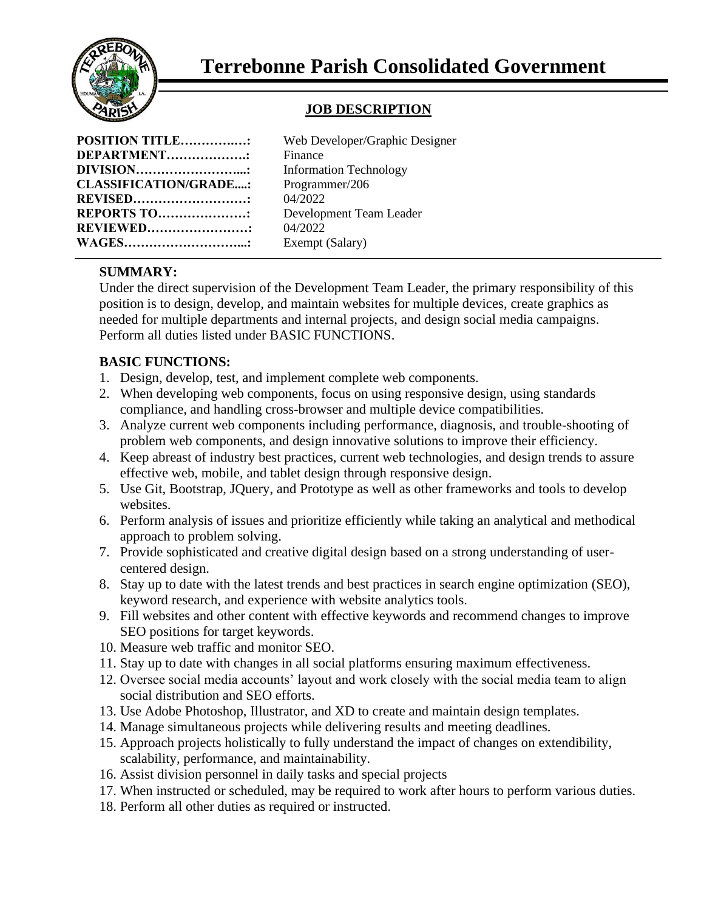

### **JOB DESCRIPTION**

| <b>POSITION TITLE:</b>       |  |
|------------------------------|--|
| DEPARTMENT                   |  |
| DIVISION                     |  |
| <b>CLASSIFICATION/GRADE:</b> |  |
| <b>REVISED</b>               |  |
| REPORTS TO                   |  |
| <b>REVIEWED</b>              |  |
| <b>WAGES</b>                 |  |

Web Developer/Graphic Designer **Finance Information Technology CLASSIFICATION/GRADE....:** Programmer/206 **REVISED………………………:** 04/2022 **Development Team Leader REVIEWED……………………:** 04/2022 Exempt (Salary)

# **SUMMARY:**

Under the direct supervision of the Development Team Leader, the primary responsibility of this position is to design, develop, and maintain websites for multiple devices, create graphics as needed for multiple departments and internal projects, and design social media campaigns. Perform all duties listed under BASIC FUNCTIONS.

## **BASIC FUNCTIONS:**

- 1. Design, develop, test, and implement complete web components.
- 2. When developing web components, focus on using responsive design, using standards compliance, and handling cross-browser and multiple device compatibilities.
- 3. Analyze current web components including performance, diagnosis, and trouble-shooting of problem web components, and design innovative solutions to improve their efficiency.
- 4. Keep abreast of industry best practices, current web technologies, and design trends to assure effective web, mobile, and tablet design through responsive design.
- 5. Use Git, Bootstrap, JQuery, and Prototype as well as other frameworks and tools to develop websites.
- 6. Perform analysis of issues and prioritize efficiently while taking an analytical and methodical approach to problem solving.
- 7. Provide sophisticated and creative digital design based on a strong understanding of usercentered design.
- 8. Stay up to date with the latest trends and best practices in search engine optimization (SEO), keyword research, and experience with website analytics tools.
- 9. Fill websites and other content with effective keywords and recommend changes to improve SEO positions for target keywords.
- 10. Measure web traffic and monitor SEO.
- 11. Stay up to date with changes in all social platforms ensuring maximum effectiveness.
- 12. Oversee social media accounts' layout and work closely with the social media team to align social distribution and SEO efforts.
- 13. Use Adobe Photoshop, Illustrator, and XD to create and maintain design templates.
- 14. Manage simultaneous projects while delivering results and meeting deadlines.
- 15. Approach projects holistically to fully understand the impact of changes on extendibility, scalability, performance, and maintainability.
- 16. Assist division personnel in daily tasks and special projects
- 17. When instructed or scheduled, may be required to work after hours to perform various duties.
- 18. Perform all other duties as required or instructed.